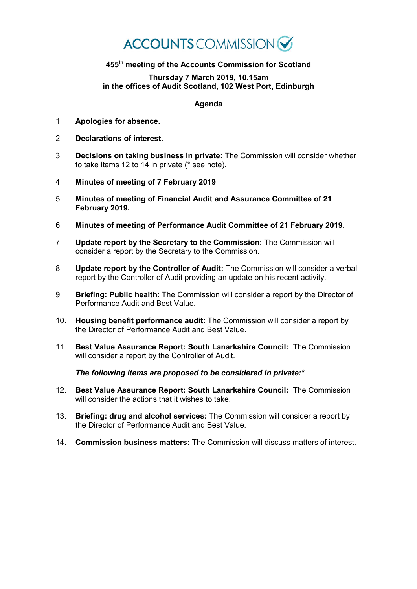## **ACCOUNTS** COMMISSION

## **455th meeting of the Accounts Commission for Scotland**

## **Thursday 7 March 2019, 10.15am in the offices of Audit Scotland, 102 West Port, Edinburgh**

## **Agenda**

- 1. **Apologies for absence.**
- 2. **Declarations of interest.**
- 3. **Decisions on taking business in private:** The Commission will consider whether to take items 12 to 14 in private (\* see note).
- 4. **Minutes of meeting of 7 February 2019**
- 5. **Minutes of meeting of Financial Audit and Assurance Committee of 21 February 2019.**
- 6. **Minutes of meeting of Performance Audit Committee of 21 February 2019.**
- 7. **Update report by the Secretary to the Commission:** The Commission will consider a report by the Secretary to the Commission.
- 8. **Update report by the Controller of Audit:** The Commission will consider a verbal report by the Controller of Audit providing an update on his recent activity.
- 9. **Briefing: Public health:** The Commission will consider a report by the Director of Performance Audit and Best Value.
- 10. **Housing benefit performance audit:** The Commission will consider a report by the Director of Performance Audit and Best Value.
- 11. **Best Value Assurance Report: South Lanarkshire Council:** The Commission will consider a report by the Controller of Audit.

*The following items are proposed to be considered in private:\**

- 12. **Best Value Assurance Report: South Lanarkshire Council:** The Commission will consider the actions that it wishes to take.
- 13. **Briefing: drug and alcohol services:** The Commission will consider a report by the Director of Performance Audit and Best Value.
- 14. **Commission business matters:** The Commission will discuss matters of interest.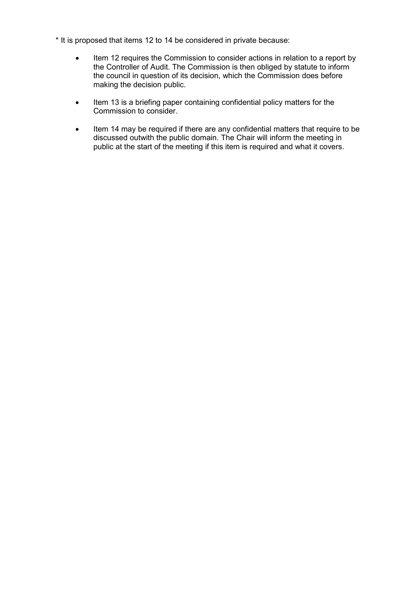- \* It is proposed that items 12 to 14 be considered in private because:
	- Item 12 requires the Commission to consider actions in relation to a report by the Controller of Audit. The Commission is then obliged by statute to inform the council in question of its decision, which the Commission does before making the decision public.
	- Item 13 is a briefing paper containing confidential policy matters for the Commission to consider.
	- Item 14 may be required if there are any confidential matters that require to be discussed outwith the public domain. The Chair will inform the meeting in public at the start of the meeting if this item is required and what it covers.